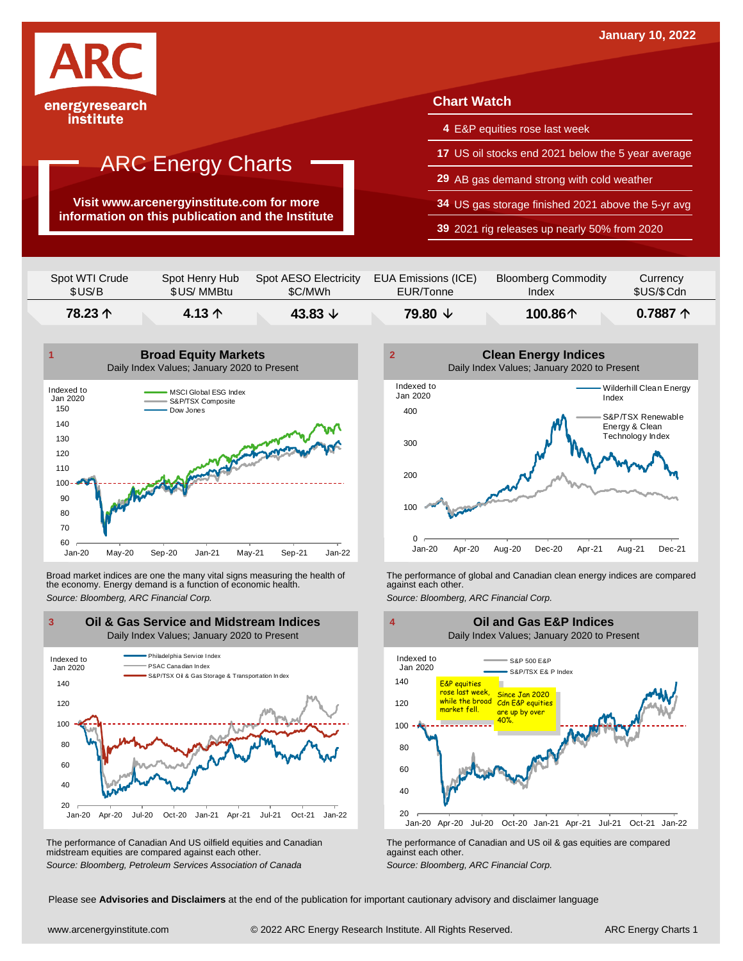

**Visit www.arcenergyinstitute.com for more information on this publication and the Institute**

### **Chart Watch**

- **4** E&P equities rose last week
- **17** US oil stocks end 2021 below the 5 year average
- **29** AB gas demand strong with cold weather
- **34** US gas storage finished 2021 above the 5-yr avg
- **39** 2021 rig releases up nearly 50% from 2020

| Spot WTI Crude | Spot Henry Hub  | Spot AESO Electricity | EUA Emissions (ICE) | <b>Bloomberg Commodity</b> | Currency            |
|----------------|-----------------|-----------------------|---------------------|----------------------------|---------------------|
| \$US/B         | \$US/ MMBtu     | \$C/MWh               | EUR/Tonne           | Index                      | \$US/\$Cdn          |
| 78.23 个        | 4.13 $\uparrow$ | 43.83 $\sqrt{ }$      | 79.80 ↓             | 100.86个                    | $0.7887$ $\uparrow$ |



Broad market indices are one the many vital signs measuring the health of the economy. Energy demand is a function of economic health. Broad market indices are one the many vital signs measuring the health of The performance of global and Canadian clean energy indices are compared<br>the economy. Energy demand is a function of economic health.<br>Source: Bloomb



The performance of Canadian And US oilfield equities and Canadian midstream equities are compared against each other. *Source: Bloomberg, Petroleum Services Association of Canada* The performance of Canadian and US oil & gas equities are compared against each other. *Source: Bloomberg, ARC Financial Corp.*





Please see **Advisories and Disclaimers** at the end of the publication for important cautionary advisory and disclaimer language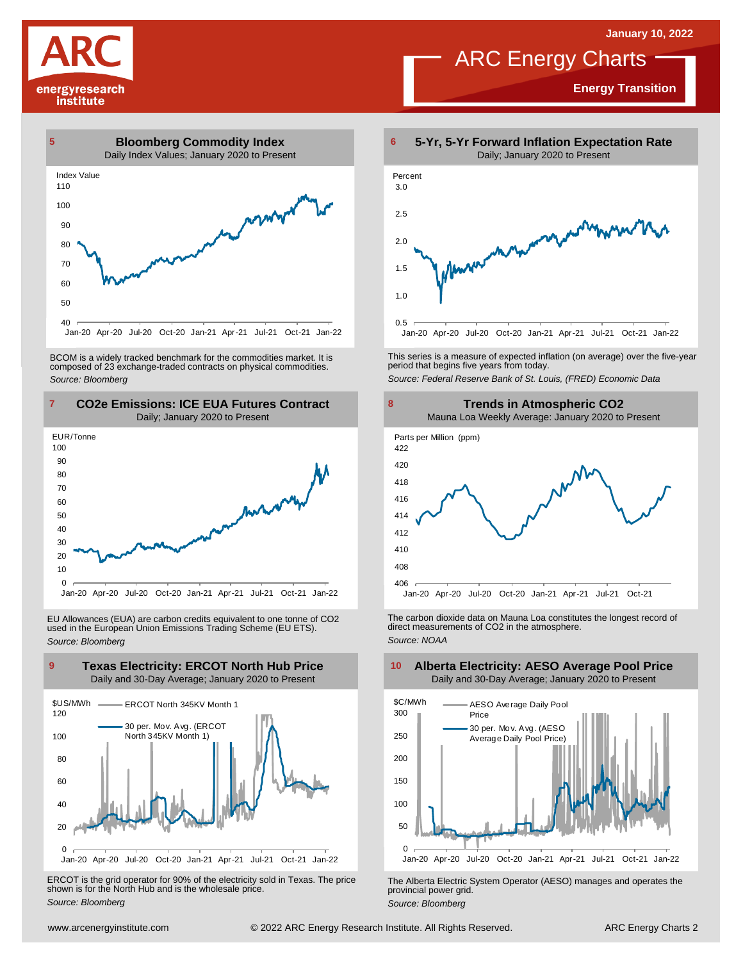**Energy Transition**

# energyresearch institute



BCOM is <sup>a</sup> widely tracked benchmark for the commodities market. It is composed of <sup>23</sup> exchange-traded contracts on physical commodities. *Source: Bloomberg*



EU Allowances (EUA) are carbon credits equivalent to one tonne of CO2 used in the European Union Emissions Trading Scheme (EU ETS). *Source: Bloomberg*



ERCOT is the grid operator for 90% of the electricity sold in Texas. The price shown is for the North Hub and is the wholesale price. *Source: Bloomberg*



ARC Energy Charts

This series is <sup>a</sup> measure of expected inflation (on average) over the five-year period that begins five years from today. *Source: Federal Reserve Bank of St. Louis, (FRED) Economic Data*



The carbon dioxide data on Mauna Loa constitutes the longest record of direct measurements of CO2 in the atmosphere. *Source: NOAA*



The Alberta Electric System Operator (AESO) manages and operates the provincial power grid. *Source: Bloomberg*

### **Alberta Electricity: AESO Average Pool Price** Daily and 30-Day Average; January 2020 to Present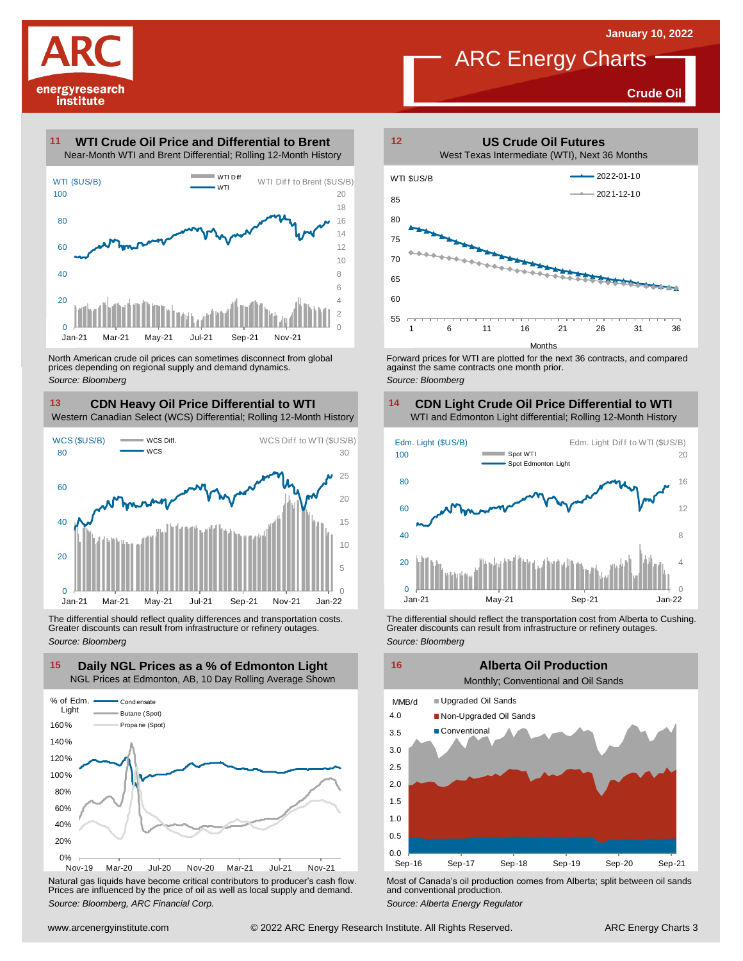

**Crude Oil**

### **WTI Crude Oil Price and Differential to Brent 11**



North American crude oil prices can sometimes disconnect from global prices depending on regional supply and demand dynamics. *Source: Bloomberg*

### **CDN Heavy Oil Price Differential to WTI 13 14**

Western Canadian Select (WCS) Differential; Rolling 12-Month History



The differential should reflect quality differences and transportation costs. Greater discounts can result from infrastructure or refinery outages. *Source: Bloomberg*



Natural gas liquids have become critical contributors to producer's cash flow. Most of Canada's oil production comes from Alberta; split between oil sands<br>Prices are influenced by the price of oil as well as local supply a



Forward prices for WTI are plotted for the next 36 contracts, and compared against the same contracts one month prior. *Source: Bloomberg*

#### **CDN Light Crude Oil Price Differential to WTI** WTI and Edmonton Light differential; Rolling 12-Month History



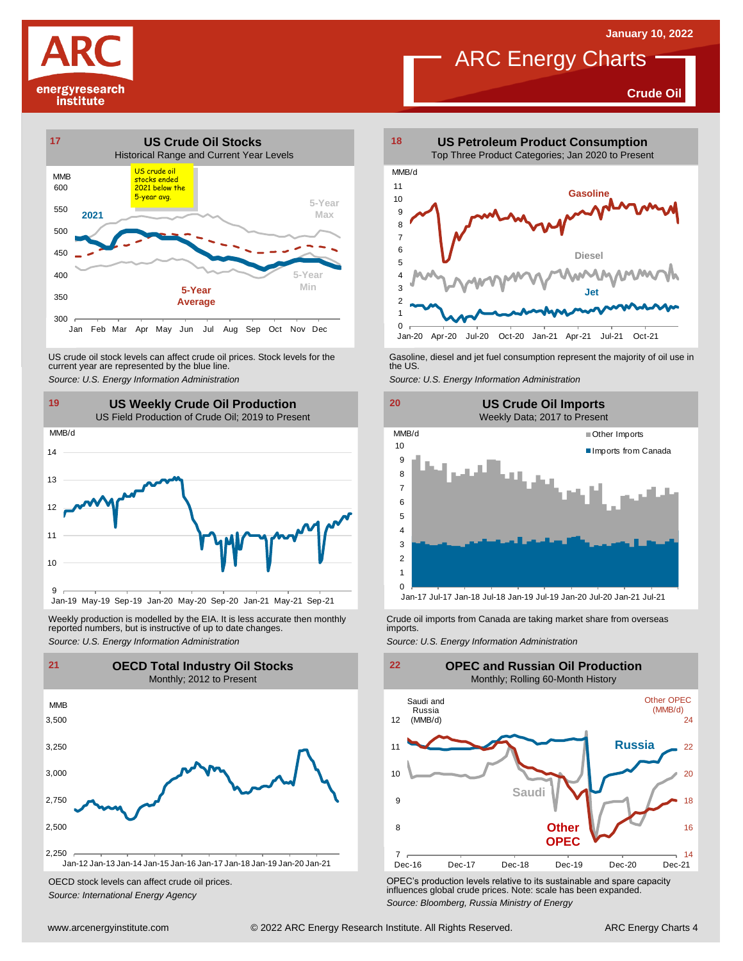**Crude Oil**

# energyresearch institute



US crude oil stock levels can affect crude oil prices. Stock levels for the Gasoline, diesel and jet fuel consumption represent the majority of oil use in<br>current year are represented by the blue line.<br>Source: U.S. Energy



Weekly production is modelled by the EIA. It is less accurate then monthly Crude oil imports from Canada are taking market share from overseas<br>The imports in the more from overseas imports imports.<br>Source: U.S. Energy Info



OECD stock levels can affect crude oil prices. *Source: International Energy Agency*



**ARC Energy Charts** 





OPEC's production levels relative to its sustainable and spare capacity influences global crude prices. Note: scale has been expanded. *Source: Bloomberg, Russia Ministry of Energy*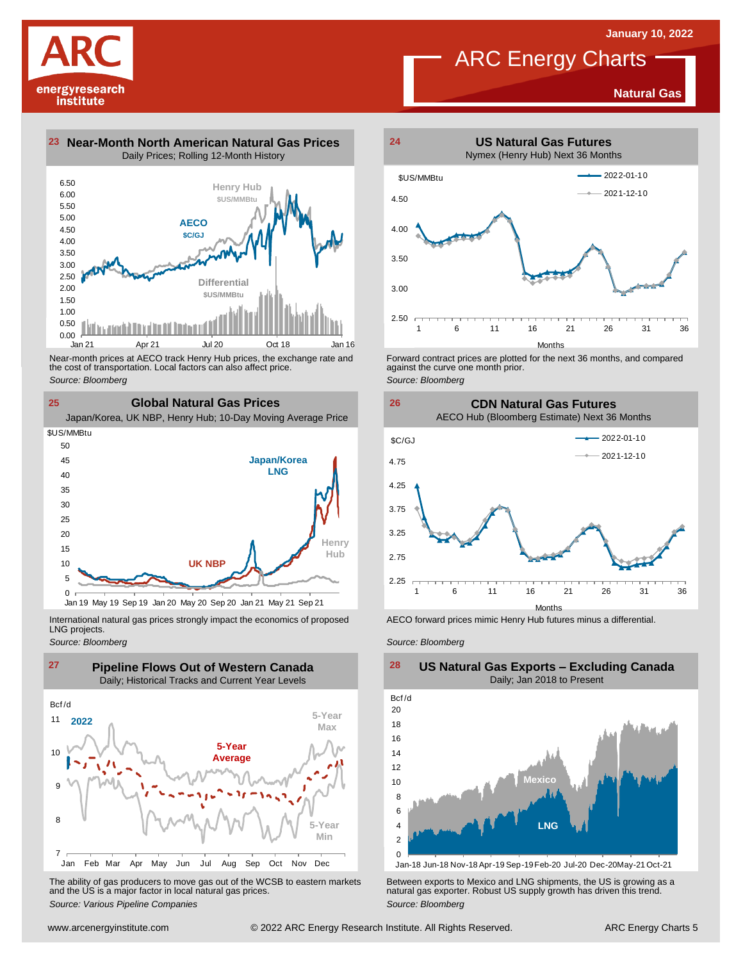

**Natural Gas**





Near-month prices at AECO track Henry Hub prices, the exchange rate and<br>the cost of transportation. Local factors can also affect price.<br>Source: Bloomberg<br>**25 Global Natural Gas Prices**<br>Japan/Korea, UK NBP, Henry Hub; 10-D the cost of transportation. Local factors can also affect price. *Source: Bloomberg*

**25 Global Natural Gas Prices**



International natural gas prices strongly impact the economics of proposed LNG projects.





The ability of gas producers to move gas out of the WCSB to eastern markets Between exports to Mexico and LNG shipments, the US is growing as a<br>and the US is a major factor in local natural gas prices.<br>Source: Bloomberg Va



Forward contract prices are plotted for the next <sup>36</sup> months, and compared against the curve one month prior. *Source: Bloomberg*





AECO forward prices mimic Henry Hub futures minus a differential.

*Source: Bloomberg*



### **US Natural Gas Exports – Excluding Canada** Daily; Jan 2018 to Present  $\frac{28}{\text{Bcf/d}}$

Jan-18 Jun-18 Nov-18 Apr-19 Sep-19Feb-20 Jul-20 Dec-20May-21 Oct-21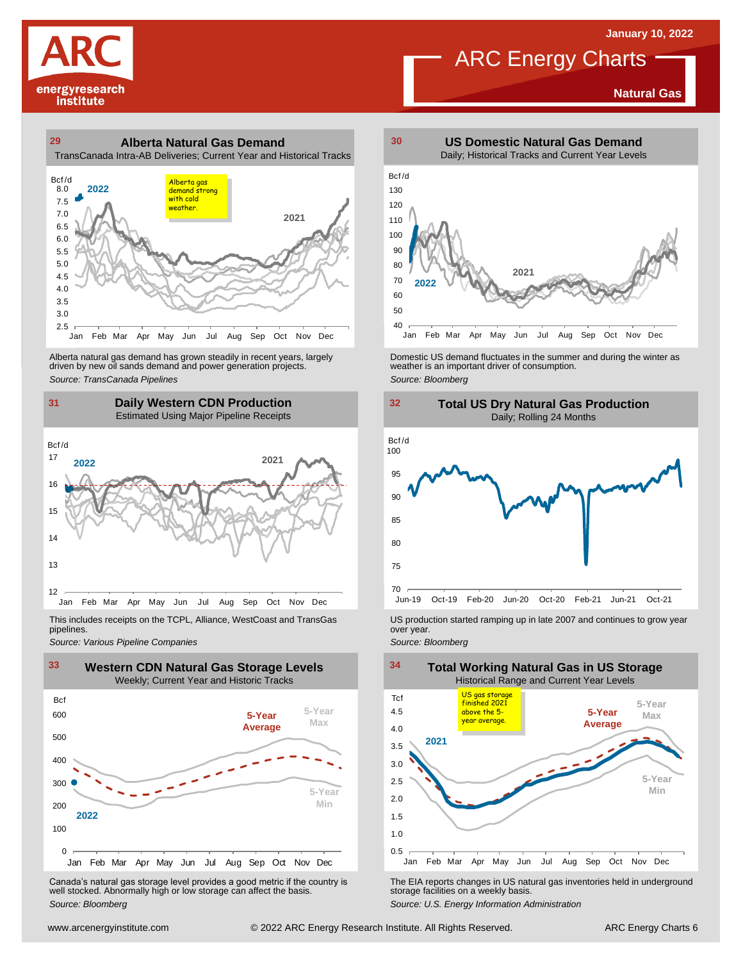**Natural Gas**





Alberta natural gas demand has grown steadily in recent years, largely<br>
driven by new oil sands demand and power generation projects.<br>
Source: *Bloomberg*<br>
Source: *Bloomberg*<br>
Daily Western CDN Production<br>
Estimated Using Alberta natural gas demand has grown steadily in recent years, largely **Domestic US demand fluctuates in the summer** and during the winter as driven by new oil sands demand and power generation projects.<br>Ariven by new oil

### **31 32 Daily Western CDN Production** Estimated Using Major Pipeline Receipts  $\frac{31}{\text{Bcf/d}}$



pipelines.



Canada's natural gas storage level provides <sup>a</sup> good metric if the country is well stocked. Abnormally high or low storage can affect the basis. *Source: Bloomberg*



**ARC Energy Charts** 





This includes receipts on the TCPL, Alliance, WestCoast and TransGas US production started ramping up in late 2007 and continues to grow year<br>pipelines.<br>Source: Various Pipeline Companies strates



The EIA reports changes in US natural gas inventories held in underground storage facilities on <sup>a</sup> weekly basis.

*Source: U.S. Energy Information Administration*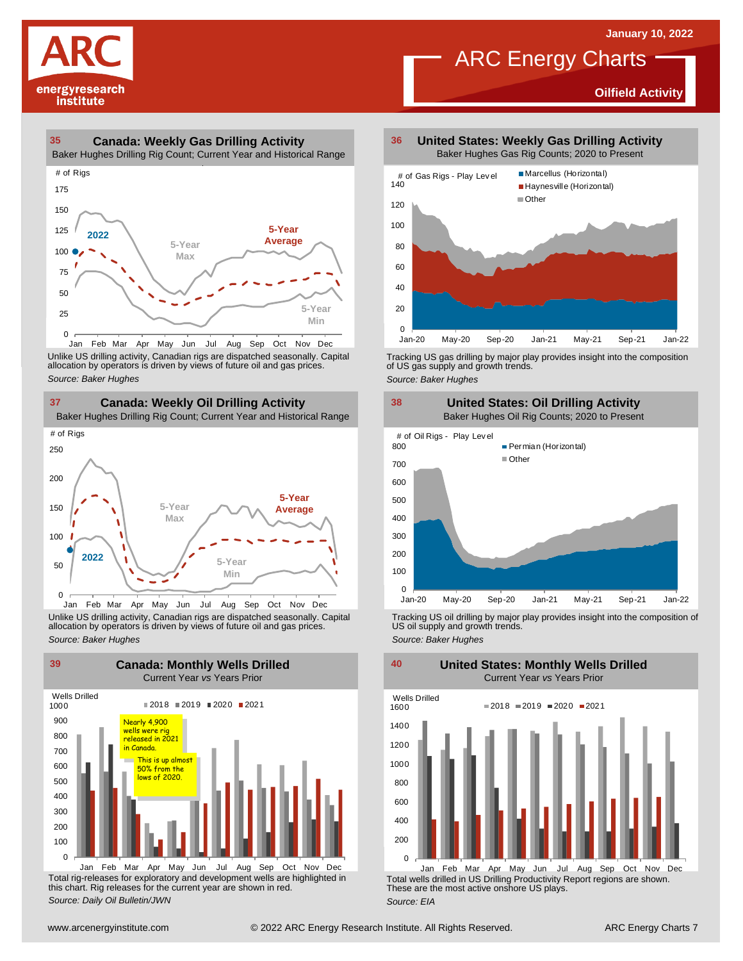**Oilfield Activity**



### **35 36 Canada: Weekly Gas Drilling Activity**

Baker Hughes Drilling Rig Count; Current Year and Historical Range



Unlike US drilling activity, Canadian rigs are dispatched seasonally. Capital<br>allocation by operators is driven by views of future oil and gas prices. 0<br>Jan Feb Mar<br>Unlike US drilling activi<br>allocation by operators<br>Source: Baker Hughes



Unlike US drilling activity, Canadian rigs are dispatched seasonally. Capital Tracking US oil drilling by major play provides insight into the composition of<br>allocation by operators is driven by views of future oil and gas



Total rig-releases for exploratory and development wells are highlighted in this chart. Rig releases for the current year are shown in red. *Source: Daily Oil Bulletin/JWN* Jan Feb Mar Apr May Jun Jul Aug Sep Oct Nov Dec

**United States: Weekly Gas Drilling Activity** Baker Hughes Gas Rig Counts; 2020 to Present

ARC Energy Charts



Tracking US gas drilling by major play provides insight into the composition of US gas supply and growth trends. *Source: Baker Hughes*



Tracking US oil drilling by major play provides insight into the composition of US oil supply and growth trends. *Source: Baker Hughes*

**United States: Monthly Wells Drilled**

0 200 400 600 800 1000 1200 1400 1600 Wells Drilled  $2018 = 2019 = 2020 = 2021$ 

Total wells drilled in US Drilling Productivity Report regions are shown. These are the most active onshore US plays. *Source: EIA* Jan Feb Mar Apr May Jun Jul Aug Sep Oct Nov Dec